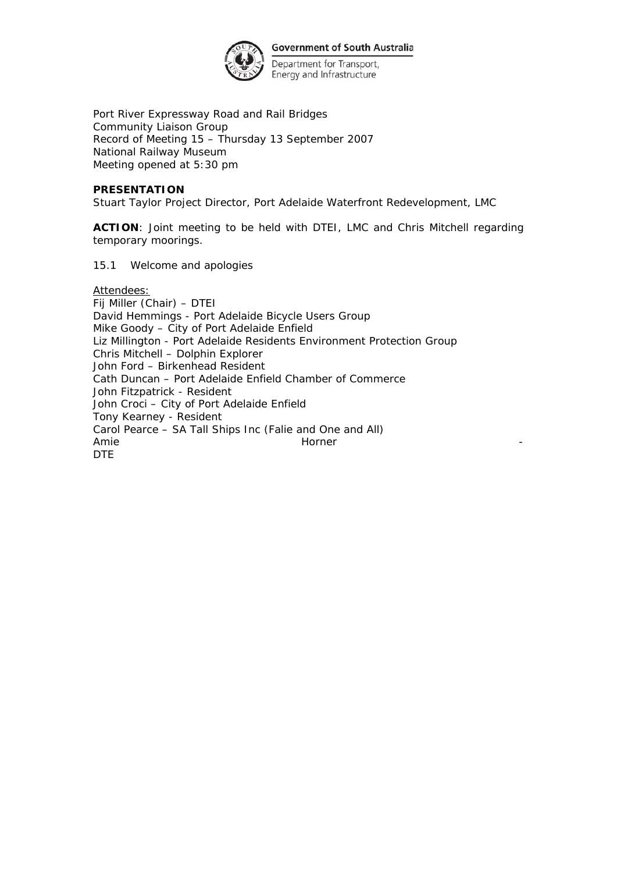

Department for Transport, Energy and Infrastructure

Port River Expressway Road and Rail Bridges Community Liaison Group Record of Meeting 15 – Thursday 13 September 2007 National Railway Museum Meeting opened at 5:30 pm

## **PRESENTATION**

Stuart Taylor Project Director, Port Adelaide Waterfront Redevelopment, LMC

**ACTION**: Joint meeting to be held with DTEI, LMC and Chris Mitchell regarding temporary moorings.

15.1 Welcome and apologies

Attendees: Fij Miller (Chair) – DTEI David Hemmings - Port Adelaide Bicycle Users Group Mike Goody – City of Port Adelaide Enfield Liz Millington - Port Adelaide Residents Environment Protection Group Chris Mitchell – Dolphin Explorer John Ford – Birkenhead Resident Cath Duncan – Port Adelaide Enfield Chamber of Commerce John Fitzpatrick - Resident John Croci – City of Port Adelaide Enfield Tony Kearney - Resident Carol Pearce – SA Tall Ships Inc (Falie and One and All) Amie Horner - DTE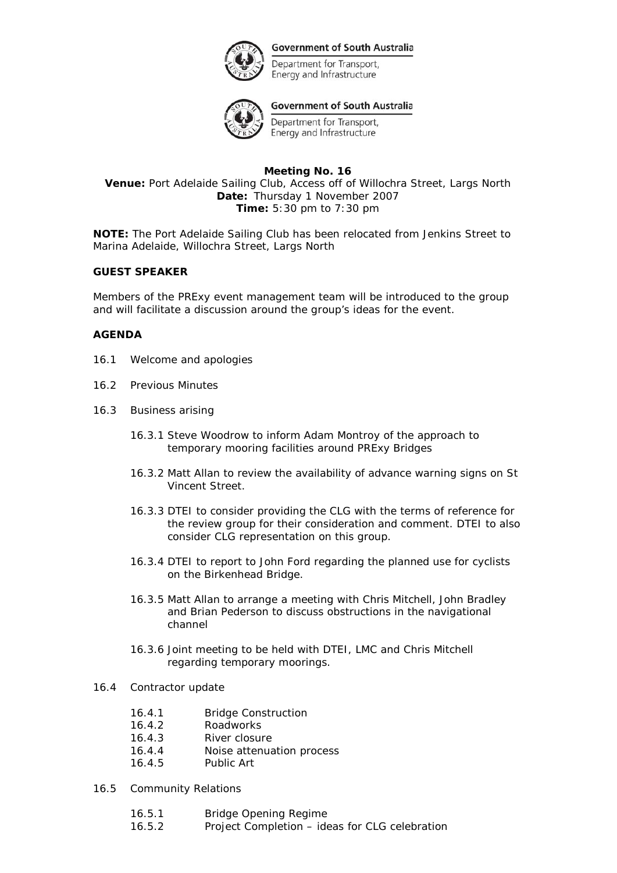

Department for Transport, Energy and Infrastructure



### **Government of South Australia**

Department for Transport, Energy and Infrastructure

#### **Meeting No. 16 Venue:** Port Adelaide Sailing Club, Access off of Willochra Street, Largs North **Date:** Thursday 1 November 2007 **Time:** 5:30 pm to 7:30 pm

**NOTE:** The Port Adelaide Sailing Club has been relocated from Jenkins Street to Marina Adelaide, Willochra Street, Largs North

# *GUEST SPEAKER*

Members of the PRExy event management team will be introduced to the group and will facilitate a discussion around the group's ideas for the event.

## *AGENDA*

- 16.1 Welcome and apologies
- 16.2 Previous Minutes
- 16.3 Business arising
	- 16.3.1 Steve Woodrow to inform Adam Montroy of the approach to temporary mooring facilities around PRExy Bridges
	- 16.3.2 Matt Allan to review the availability of advance warning signs on St Vincent Street.
	- 16.3.3 DTEI to consider providing the CLG with the terms of reference for the review group for their consideration and comment. DTEI to also consider CLG representation on this group.
	- 16.3.4 DTEI to report to John Ford regarding the planned use for cyclists on the Birkenhead Bridge.
	- 16.3.5 Matt Allan to arrange a meeting with Chris Mitchell, John Bradley and Brian Pederson to discuss obstructions in the navigational channel
	- 16.3.6 Joint meeting to be held with DTEI, LMC and Chris Mitchell regarding temporary moorings.
- 16.4 Contractor update
	- 16.4.1 Bridge Construction
	- 16.4.2 Roadworks
	- 16.4.3 River closure
	- 16.4.4 Noise attenuation process
	- 16.4.5 Public Art
- 16.5 Community Relations
	- 16.5.1 Bridge Opening Regime
	- 16.5.2 Project Completion ideas for CLG celebration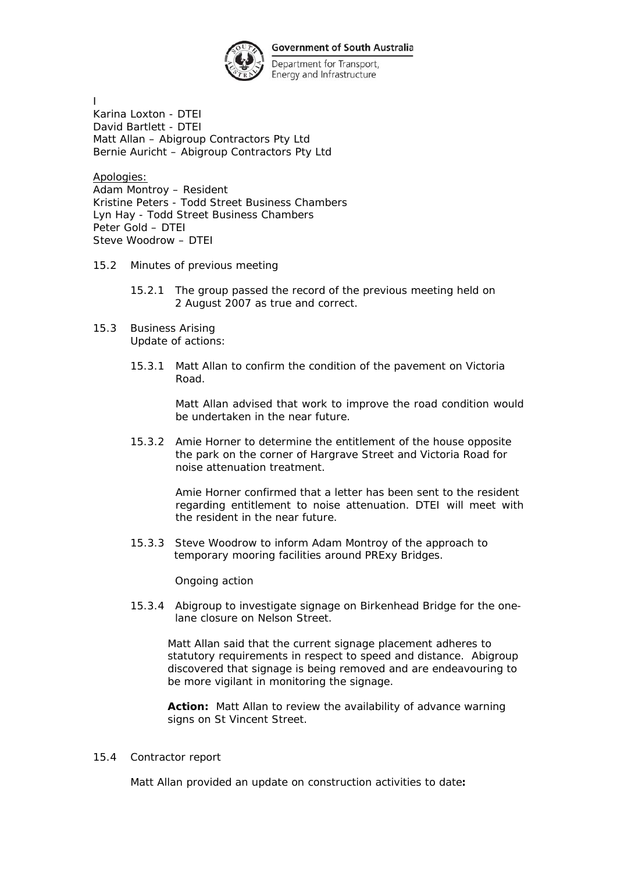

Department for Transport, Energy and Infrastructure

I Karina Loxton - DTEI David Bartlett - DTEI Matt Allan – Abigroup Contractors Pty Ltd Bernie Auricht – Abigroup Contractors Pty Ltd

Apologies: Adam Montroy – Resident Kristine Peters - Todd Street Business Chambers Lyn Hay - Todd Street Business Chambers Peter Gold – DTEI Steve Woodrow – DTEI

- 15.2 Minutes of previous meeting
	- 15.2.1 The group passed the record of the previous meeting held on 2 August 2007 as true and correct.
- 15.3 Business Arising Update of actions:
	- 15.3.1 Matt Allan to confirm the condition of the pavement on Victoria Road.

Matt Allan advised that work to improve the road condition would be undertaken in the near future.

15.3.2 Amie Horner to determine the entitlement of the house opposite the park on the corner of Hargrave Street and Victoria Road for noise attenuation treatment.

> Amie Horner confirmed that a letter has been sent to the resident regarding entitlement to noise attenuation. DTEI will meet with the resident in the near future.

15.3.3 Steve Woodrow to inform Adam Montroy of the approach to temporary mooring facilities around PRExy Bridges.

Ongoing action

15.3.4 Abigroup to investigate signage on Birkenhead Bridge for the one lane closure on Nelson Street

Matt Allan said that the current signage placement adheres to statutory requirements in respect to speed and distance. Abigroup discovered that signage is being removed and are endeavouring to be more vigilant in monitoring the signage.

**Action:** Matt Allan to review the availability of advance warning signs on St Vincent Street.

15.4 Contractor report

Matt Allan provided an update on construction activities to date**:**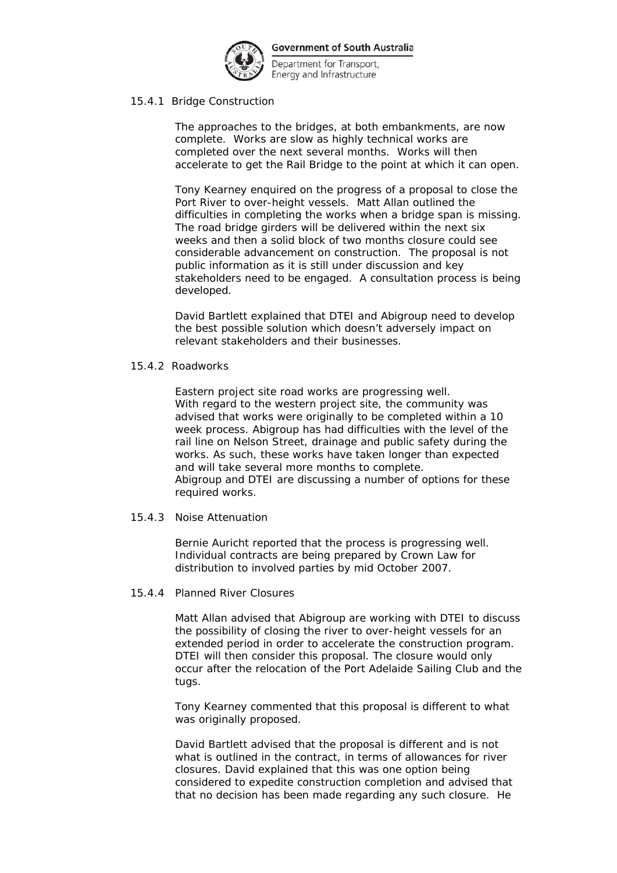

Department for Transport, Energy and Infrastructure

# 15.4.1 Bridge Construction

 The approaches to the bridges, at both embankments, are now complete. Works are slow as highly technical works are completed over the next several months. Works will then accelerate to get the Rail Bridge to the point at which it can open.

 Tony Kearney enquired on the progress of a proposal to close the Port River to over-height vessels. Matt Allan outlined the difficulties in completing the works when a bridge span is missing. The road bridge girders will be delivered within the next six weeks and then a solid block of two months closure could see considerable advancement on construction. The proposal is not public information as it is still under discussion and key stakeholders need to be engaged. A consultation process is being developed.

 David Bartlett explained that DTEI and Abigroup need to develop the best possible solution which doesn't adversely impact on relevant stakeholders and their businesses.

## 15.4.2 Roadworks

 Eastern project site road works are progressing well. With regard to the western project site, the community was advised that works were originally to be completed within a 10 week process. Abigroup has had difficulties with the level of the rail line on Nelson Street, drainage and public safety during the works. As such, these works have taken longer than expected and will take several more months to complete. Abigroup and DTEI are discussing a number of options for these required works.

### 15.4.3 Noise Attenuation

 Bernie Auricht reported that the process is progressing well. Individual contracts are being prepared by Crown Law for distribution to involved parties by mid October 2007.

### 15.4.4 Planned River Closures

 Matt Allan advised that Abigroup are working with DTEI to discuss the possibility of closing the river to over-height vessels for an extended period in order to accelerate the construction program. DTEI will then consider this proposal. The closure would only occur after the relocation of the Port Adelaide Sailing Club and the tuas.

 Tony Kearney commented that this proposal is different to what was originally proposed.

 David Bartlett advised that the proposal is different and is not what is outlined in the contract, in terms of allowances for river closures. David explained that this was one option being considered to expedite construction completion and advised that that no decision has been made regarding any such closure. He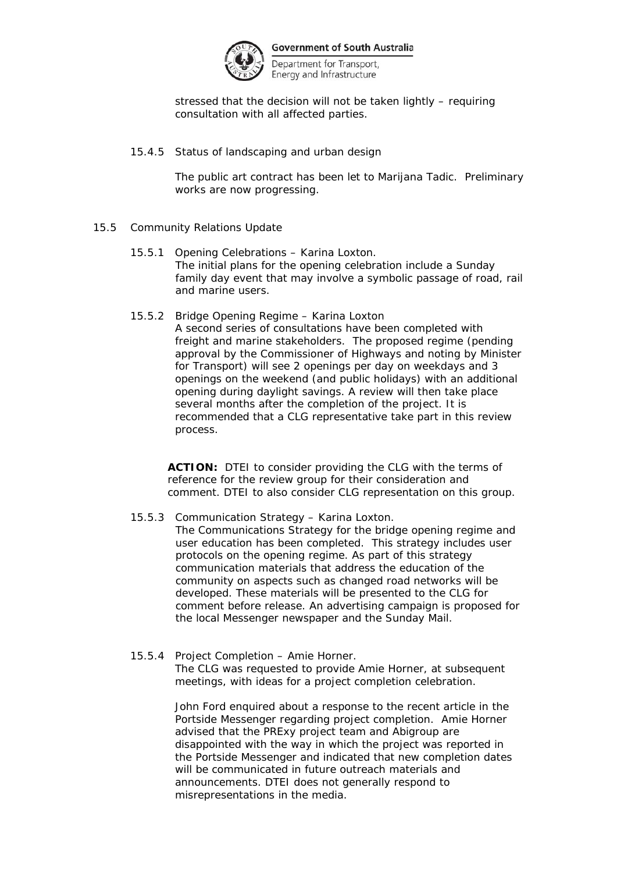

Department for Transport, Energy and Infrastructure

 stressed that the decision will not be taken lightly – requiring consultation with all affected parties.

15.4.5 Status of landscaping and urban design

 The public art contract has been let to Marijana Tadic. Preliminary works are now progressing.

- 15.5 Community Relations Update
	- 15.5.1 Opening Celebrations Karina Loxton. The initial plans for the opening celebration include a Sunday family day event that may involve a symbolic passage of road, rail and marine users.
	- 15.5.2 Bridge Opening Regime Karina Loxton

 A second series of consultations have been completed with freight and marine stakeholders. The proposed regime (pending approval by the Commissioner of Highways and noting by Minister for Transport) will see 2 openings per day on weekdays and 3 openings on the weekend (and public holidays) with an additional opening during daylight savings. A review will then take place several months after the completion of the project. It is recommended that a CLG representative take part in this review process.

**ACTION:** DTEI to consider providing the CLG with the terms of reference for the review group for their consideration and comment. DTEI to also consider CLG representation on this group.

- 15.5.3 Communication Strategy Karina Loxton. The Communications Strategy for the bridge opening regime and user education has been completed. This strategy includes user protocols on the opening regime. As part of this strategy communication materials that address the education of the community on aspects such as changed road networks will be developed. These materials will be presented to the CLG for comment before release. An advertising campaign is proposed for the local Messenger newspaper and the Sunday Mail.
- 15.5.4 Project Completion Amie Horner. The CLG was requested to provide Amie Horner, at subsequent meetings, with ideas for a project completion celebration.

 John Ford enquired about a response to the recent article in the Portside Messenger regarding project completion. Amie Horner advised that the PRExy project team and Abigroup are disappointed with the way in which the project was reported in the Portside Messenger and indicated that new completion dates will be communicated in future outreach materials and announcements. DTEI does not generally respond to misrepresentations in the media.